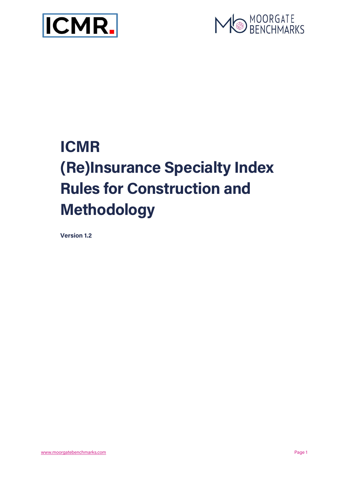



# ICMR (Re)Insurance Specialty Index Rules for Construction and Methodology

Version 1.2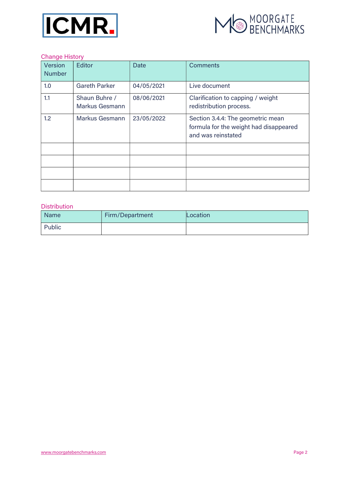



#### Change History

| Version<br><b>Number</b> | Editor                                 | Date       | <b>Comments</b>                                                                                   |
|--------------------------|----------------------------------------|------------|---------------------------------------------------------------------------------------------------|
| 1.0                      | <b>Gareth Parker</b>                   | 04/05/2021 | Live document                                                                                     |
| 1.1                      | Shaun Buhre /<br><b>Markus Gesmann</b> | 08/06/2021 | Clarification to capping / weight<br>redistribution process.                                      |
| 1.2 <sub>2</sub>         | <b>Markus Gesmann</b>                  | 23/05/2022 | Section 3.4.4: The geometric mean<br>formula for the weight had disappeared<br>and was reinstated |
|                          |                                        |            |                                                                                                   |
|                          |                                        |            |                                                                                                   |
|                          |                                        |            |                                                                                                   |
|                          |                                        |            |                                                                                                   |

#### Distribution

| <b>Name</b> | Firm/Department | Location |
|-------------|-----------------|----------|
| Public      |                 |          |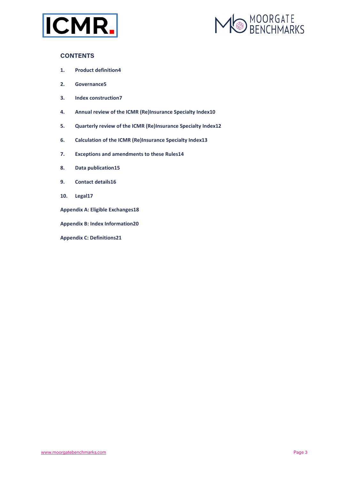



#### **CONTENTS**

- 1. Product definition4
- 2. Governance5
- 3. Index construction7
- 4. Annual review of the ICMR (Re)Insurance Specialty Index10
- 5. Quarterly review of the ICMR (Re)Insurance Specialty Index12
- 6. Calculation of the ICMR (Re)Insurance Specialty Index13
- 7. Exceptions and amendments to these Rules14
- 8. Data publication15
- 9. Contact details16
- 10. Legal17
- Appendix A: Eligible Exchanges18
- Appendix B: Index Information20
- Appendix C: Definitions21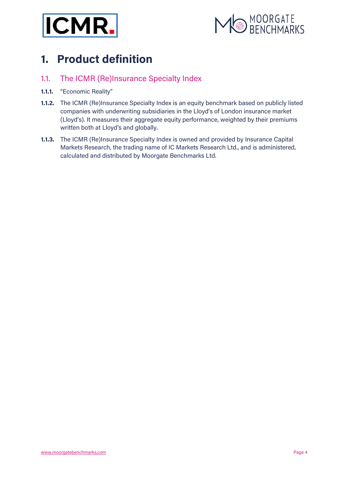



# 1. Product definition

### 1.1. The ICMR (Re)Insurance Specialty Index

- 1.1.1. "Economic Reality"
- 1.1.2. The ICMR (Re)Insurance Specialty Index is an equity benchmark based on publicly listed companies with underwriting subsidiaries in the Lloyd's of London insurance market (Lloyd's). It measures their aggregate equity performance, weighted by their premiums written both at Lloyd's and globally.
- 1.1.3. The ICMR (Re)Insurance Specialty Index is owned and provided by Insurance Capital Markets Research, the trading name of IC Markets Research Ltd., and is administered, calculated and distributed by Moorgate Benchmarks Ltd.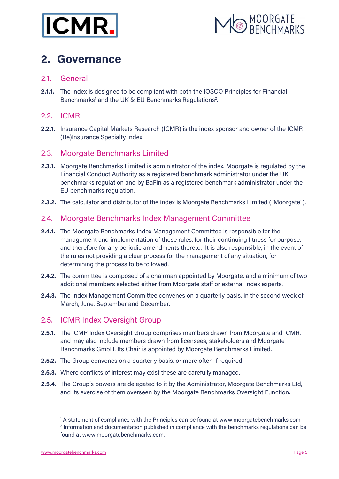



### 2. Governance

### 2.1. General

2.1.1. The index is designed to be compliant with both the IOSCO Principles for Financial Benchmarks<sup>1</sup> and the UK & EU Benchmarks Regulations<sup>2</sup>.

### 2.2. ICMR

2.2.1. Insurance Capital Markets Research (ICMR) is the index sponsor and owner of the ICMR (Re)Insurance Specialty Index.

### 2.3. Moorgate Benchmarks Limited

- **2.3.1.** Moorgate Benchmarks Limited is administrator of the index. Moorgate is regulated by the Financial Conduct Authority as a registered benchmark administrator under the UK benchmarks regulation and by BaFin as a registered benchmark administrator under the EU benchmarks regulation.
- 2.3.2. The calculator and distributor of the index is Moorgate Benchmarks Limited ("Moorgate").

### 2.4. Moorgate Benchmarks Index Management Committee

- 2.4.1. The Moorgate Benchmarks Index Management Committee is responsible for the management and implementation of these rules, for their continuing fitness for purpose, and therefore for any periodic amendments thereto. It is also responsible, in the event of the rules not providing a clear process for the management of any situation, for determining the process to be followed.
- **2.4.2.** The committee is composed of a chairman appointed by Moorgate, and a minimum of two additional members selected either from Moorgate staff or external index experts.
- 2.4.3. The Index Management Committee convenes on a quarterly basis, in the second week of March, June, September and December.

### 2.5. ICMR Index Oversight Group

- 2.5.1. The ICMR Index Oversight Group comprises members drawn from Moorgate and ICMR, and may also include members drawn from licensees, stakeholders and Moorgate Benchmarks GmbH. Its Chair is appointed by Moorgate Benchmarks Limited.
- 2.5.2. The Group convenes on a quarterly basis, or more often if required.
- 2.5.3. Where conflicts of interest may exist these are carefully managed.
- 2.5.4. The Group's powers are delegated to it by the Administrator, Moorgate Benchmarks Ltd, and its exercise of them overseen by the Moorgate Benchmarks Oversight Function.

<sup>&</sup>lt;sup>1</sup> A statement of compliance with the Principles can be found at www.moorgatebenchmarks.com <sup>2</sup> Information and documentation published in compliance with the benchmarks regulations can be found at www.moorgatebenchmarks.com.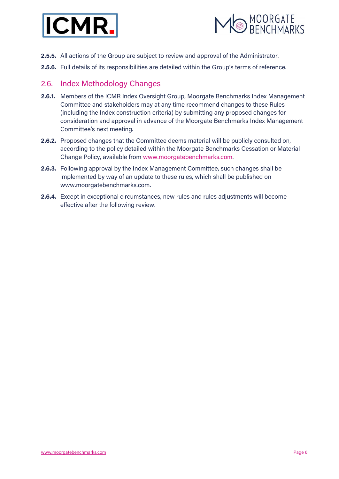



- 2.5.5. All actions of the Group are subject to review and approval of the Administrator.
- 2.5.6. Full details of its responsibilities are detailed within the Group's terms of reference.

### 2.6. Index Methodology Changes

- 2.6.1. Members of the ICMR Index Oversight Group, Moorgate Benchmarks Index Management Committee and stakeholders may at any time recommend changes to these Rules (including the Index construction criteria) by submitting any proposed changes for consideration and approval in advance of the Moorgate Benchmarks Index Management Committee's next meeting.
- 2.6.2. Proposed changes that the Committee deems material will be publicly consulted on, according to the policy detailed within the Moorgate Benchmarks Cessation or Material Change Policy, available from www.moorgatebenchmarks.com.
- 2.6.3. Following approval by the Index Management Committee, such changes shall be implemented by way of an update to these rules, which shall be published on www.moorgatebenchmarks.com.
- 2.6.4. Except in exceptional circumstances, new rules and rules adjustments will become effective after the following review.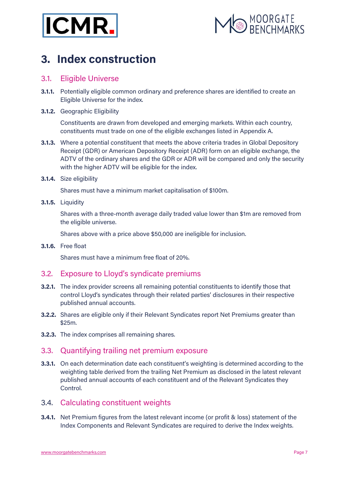



## 3. Index construction

### 3.1. Eligible Universe

- **3.1.1.** Potentially eligible common ordinary and preference shares are identified to create an Eligible Universe for the index.
- 3.1.2. Geographic Eligibility

Constituents are drawn from developed and emerging markets. Within each country, constituents must trade on one of the eligible exchanges listed in Appendix A.

- **3.1.3.** Where a potential constituent that meets the above criteria trades in Global Depository Receipt (GDR) or American Depository Receipt (ADR) form on an eligible exchange, the ADTV of the ordinary shares and the GDR or ADR will be compared and only the security with the higher ADTV will be eligible for the index.
- 3.1.4. Size eligibility

Shares must have a minimum market capitalisation of \$100m.

3.1.5. Liquidity

Shares with a three-month average daily traded value lower than \$1m are removed from the eligible universe.

Shares above with a price above \$50,000 are ineligible for inclusion.

3.1.6. Free float

Shares must have a minimum free float of 20%.

### 3.2. Exposure to Lloyd's syndicate premiums

- **3.2.1.** The index provider screens all remaining potential constituents to identify those that control Lloyd's syndicates through their related parties' disclosures in their respective published annual accounts.
- **3.2.2.** Shares are eligible only if their Relevant Syndicates report Net Premiums greater than \$25m.
- 3.2.3. The index comprises all remaining shares.

### 3.3. Quantifying trailing net premium exposure

**3.3.1.** On each determination date each constituent's weighting is determined according to the weighting table derived from the trailing Net Premium as disclosed in the latest relevant published annual accounts of each constituent and of the Relevant Syndicates they Control.

### 3.4. Calculating constituent weights

**3.4.1.** Net Premium figures from the latest relevant income (or profit & loss) statement of the Index Components and Relevant Syndicates are required to derive the Index weights.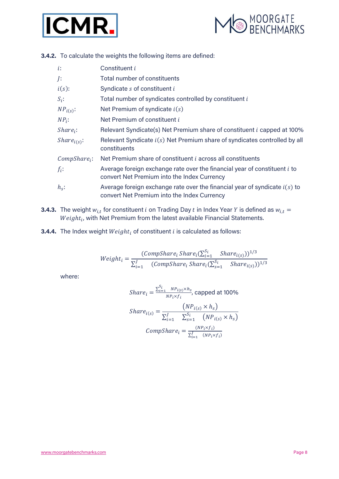



3.4.2. To calculate the weights the following items are defined:

| $i$ :                                       | Constituent i                                                                                                               |
|---------------------------------------------|-----------------------------------------------------------------------------------------------------------------------------|
| J:                                          | Total number of constituents                                                                                                |
| $i(s)$ :                                    | Syndicate s of constituent i                                                                                                |
| $S_i$ :                                     | Total number of syndicates controlled by constituent i                                                                      |
| $NP_{i(s)}$ :                               | Net Premium of syndicate $i(s)$                                                                                             |
| $NP_i$ :                                    | Net Premium of constituent i                                                                                                |
| $Share_i$ :                                 | Relevant Syndicate(s) Net Premium share of constituent <i>i</i> capped at 100%                                              |
| <i>Share</i> <sub><math>i(s)</math></sub> : | Relevant Syndicate $i(s)$ Net Premium share of syndicates controlled by all<br>constituents                                 |
| $CompShare_i$ :                             | Net Premium share of constituent <i>i</i> across all constituents                                                           |
| $f_i$ :                                     | Average foreign exchange rate over the financial year of constituent i to<br>convert Net Premium into the Index Currency    |
| $h_s$ :                                     | Average foreign exchange rate over the financial year of syndicate $i(s)$ to<br>convert Net Premium into the Index Currency |

- **3.4.3.** The weight  $w_{i,t}$  for constituent *i* on Trading Day *t* in Index Year *Y* is defined as  $w_{i,t}$  =  $Weight_{i}$ , with Net Premium from the latest available Financial Statements.
- **3.4.4.** The Index weight  $Weight_i$  of constituent  $i$  is calculated as follows:

$$
Weight_{i} = \frac{(CompShare_{i}Share_{i}(\sum_{i=1}^{S_{i}}Share_{i(s)}))^{1/3}}{\sum_{i=1}^{J} (CompShare_{i}Share_{i}(\sum_{s=1}^{S_{i}}Share_{i(s)}))^{1/3}}
$$

where:

$$
Share_i = \frac{\sum_{s=1}^{S_i} NP_{i(s)} \times h_s}{NP_i \times f_i}
$$
, capped at 100%  
\n
$$
Share_{i(s)} = \frac{(NP_{i(s)} \times h_s)}{\sum_{i=1}^{J} \sum_{s=1}^{S_i} (NP_{i(s)} \times h_s)}
$$
  
\n
$$
CompShare_i = \frac{(NP_i \times f_i)}{\sum_{i=1}^{J} (NP_i \times f_i)}
$$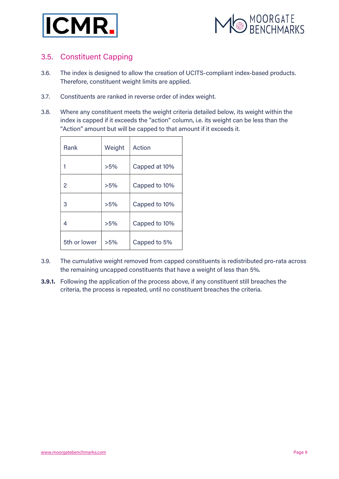



### 3.5. Constituent Capping

- 3.6. The index is designed to allow the creation of UCITS-compliant index-based products. Therefore, constituent weight limits are applied.
- 3.7. Constituents are ranked in reverse order of index weight.
- 3.8. Where any constituent meets the weight criteria detailed below, its weight within the index is capped if it exceeds the "action" column, i.e. its weight can be less than the "Action" amount but will be capped to that amount if it exceeds it.

| <b>Rank</b>  | Weight | Action        |  |  |
|--------------|--------|---------------|--|--|
|              | >5%    | Capped at 10% |  |  |
| 2            | >5%    | Capped to 10% |  |  |
| 3            | >5%    | Capped to 10% |  |  |
| 4            | >5%    | Capped to 10% |  |  |
| 5th or lower | >5%    | Capped to 5%  |  |  |

- 3.9. The cumulative weight removed from capped constituents is redistributed pro-rata across the remaining uncapped constituents that have a weight of less than 5%.
- **3.9.1.** Following the application of the process above, if any constituent still breaches the criteria, the process is repeated, until no constituent breaches the criteria.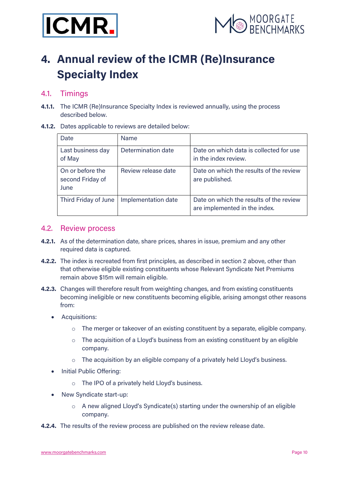



# 4. Annual review of the ICMR (Re)Insurance Specialty Index

### 4.1. Timings

- **4.1.1.** The ICMR (Re)Insurance Specialty Index is reviewed annually, using the process described below.
- 4.1.2. Dates applicable to reviews are detailed below:

| Date                                         | <b>Name</b>         |                                                                          |
|----------------------------------------------|---------------------|--------------------------------------------------------------------------|
| Last business day<br>of May                  | Determination date  | Date on which data is collected for use<br>in the index review.          |
| On or before the<br>second Friday of<br>June | Review release date | Date on which the results of the review<br>are published.                |
| Third Friday of June                         | Implementation date | Date on which the results of the review<br>are implemented in the index. |

#### 4.2. Review process

- 4.2.1. As of the determination date, share prices, shares in issue, premium and any other required data is captured.
- 4.2.2. The index is recreated from first principles, as described in section 2 above, other than that otherwise eligible existing constituents whose Relevant Syndicate Net Premiums remain above \$15m will remain eligible.
- 4.2.3. Changes will therefore result from weighting changes, and from existing constituents becoming ineligible or new constituents becoming eligible, arising amongst other reasons from:
	- Acquisitions:
		- o The merger or takeover of an existing constituent by a separate, eligible company.
		- $\circ$  The acquisition of a Lloyd's business from an existing constituent by an eligible company.
		- o The acquisition by an eligible company of a privately held Lloyd's business.
	- Initial Public Offering:
		- o The IPO of a privately held Lloyd's business.
	- New Syndicate start-up:
		- $\circ$  A new aligned Lloyd's Syndicate(s) starting under the ownership of an eligible company.
- **4.2.4.** The results of the review process are published on the review release date.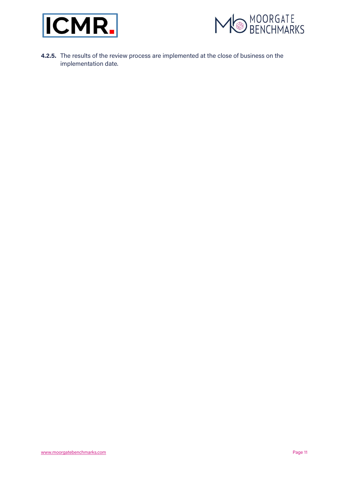



4.2.5. The results of the review process are implemented at the close of business on the implementation date.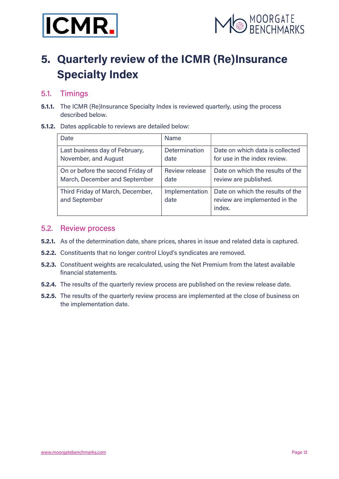



# 5. Quarterly review of the ICMR (Re)Insurance Specialty Index

### 5.1. Timings

**5.1.1.** The ICMR (Re)Insurance Specialty Index is reviewed quarterly, using the process described below.

#### 5.1.2. Dates applicable to reviews are detailed below:

| Date                                              | <b>Name</b>            |                                                                             |
|---------------------------------------------------|------------------------|-----------------------------------------------------------------------------|
| Last business day of February,                    | <b>Determination</b>   | Date on which data is collected                                             |
| November, and August                              | date                   | for use in the index review.                                                |
| On or before the second Friday of                 | Review release         | Date on which the results of the                                            |
| March, December and September                     | date                   | review are published.                                                       |
| Third Friday of March, December,<br>and September | Implementation<br>date | Date on which the results of the<br>review are implemented in the<br>index. |

#### 5.2. Review process

- 5.2.1. As of the determination date, share prices, shares in issue and related data is captured.
- 5.2.2. Constituents that no longer control Lloyd's syndicates are removed.
- 5.2.3. Constituent weights are recalculated, using the Net Premium from the latest available financial statements.
- 5.2.4. The results of the quarterly review process are published on the review release date.
- **5.2.5.** The results of the quarterly review process are implemented at the close of business on the implementation date.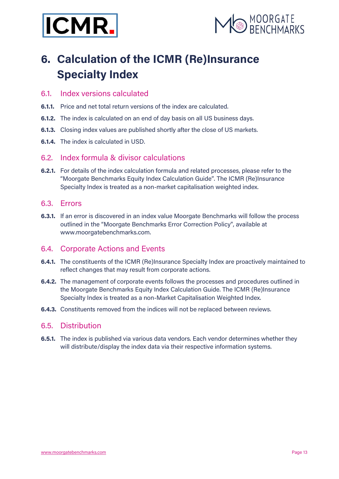



# 6. Calculation of the ICMR (Re)Insurance Specialty Index

### 6.1. Index versions calculated

- 6.1.1. Price and net total return versions of the index are calculated.
- 6.1.2. The index is calculated on an end of day basis on all US business days.
- **6.1.3.** Closing index values are published shortly after the close of US markets.
- 6.1.4. The index is calculated in USD.

### 6.2. Index formula & divisor calculations

6.2.1. For details of the index calculation formula and related processes, please refer to the "Moorgate Benchmarks Equity Index Calculation Guide". The ICMR (Re)Insurance Specialty Index is treated as a non-market capitalisation weighted index.

### 6.3. Errors

**6.3.1.** If an error is discovered in an index value Moorgate Benchmarks will follow the process outlined in the "Moorgate Benchmarks Error Correction Policy", available at www.moorgatebenchmarks.com.

### 6.4. Corporate Actions and Events

- 6.4.1. The constituents of the ICMR (Re)Insurance Specialty Index are proactively maintained to reflect changes that may result from corporate actions.
- 6.4.2. The management of corporate events follows the processes and procedures outlined in the Moorgate Benchmarks Equity Index Calculation Guide. The ICMR (Re)Insurance Specialty Index is treated as a non-Market Capitalisation Weighted Index.
- 6.4.3. Constituents removed from the indices will not be replaced between reviews.

### 6.5. Distribution

**6.5.1.** The index is published via various data vendors. Each vendor determines whether they will distribute/display the index data via their respective information systems.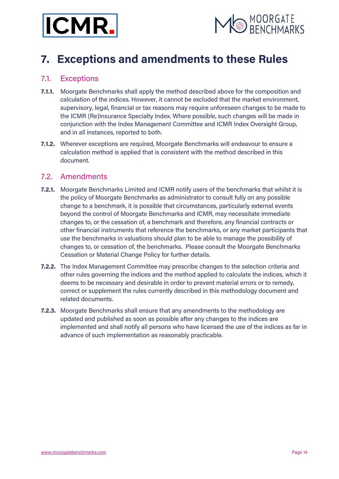



## 7. Exceptions and amendments to these Rules

### 7.1. Exceptions

- 7.1.1. Moorgate Benchmarks shall apply the method described above for the composition and calculation of the indices. However, it cannot be excluded that the market environment, supervisory, legal, financial or tax reasons may require unforeseen changes to be made to the ICMR (Re)Insurance Specialty Index. Where possible, such changes will be made in conjunction with the Index Management Committee and ICMR Index Oversight Group, and in all instances, reported to both.
- 7.1.2. Wherever exceptions are required, Moorgate Benchmarks will endeavour to ensure a calculation method is applied that is consistent with the method described in this document.

### 7.2. Amendments

- 7.2.1. Moorgate Benchmarks Limited and ICMR notify users of the benchmarks that whilst it is the policy of Moorgate Benchmarks as administrator to consult fully on any possible change to a benchmark, it is possible that circumstances, particularly external events beyond the control of Moorgate Benchmarks and ICMR, may necessitate immediate changes to, or the cessation of, a benchmark and therefore, any financial contracts or other financial instruments that reference the benchmarks, or any market participants that use the benchmarks in valuations should plan to be able to manage the possibility of changes to, or cessation of, the benchmarks. Please consult the Moorgate Benchmarks Cessation or Material Change Policy for further details.
- **7.2.2.** The Index Management Committee may prescribe changes to the selection criteria and other rules governing the indices and the method applied to calculate the indices, which it deems to be necessary and desirable in order to prevent material errors or to remedy, correct or supplement the rules currently described in this methodology document and related documents.
- **7.2.3.** Moorgate Benchmarks shall ensure that any amendments to the methodology are updated and published as soon as possible after any changes to the indices are implemented and shall notify all persons who have licensed the use of the indices as far in advance of such implementation as reasonably practicable.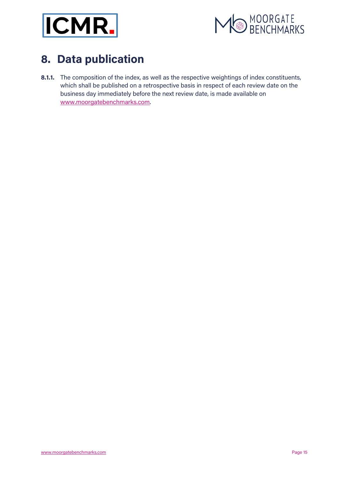



# 8. Data publication

8.1.1. The composition of the index, as well as the respective weightings of index constituents, which shall be published on a retrospective basis in respect of each review date on the business day immediately before the next review date, is made available on www.moorgatebenchmarks.com.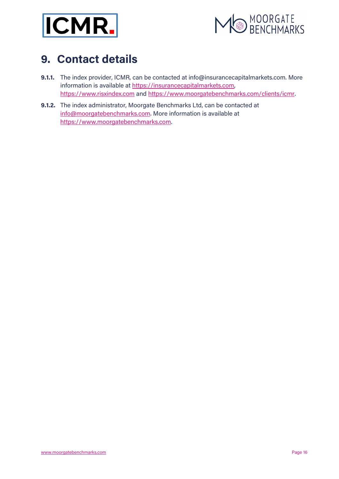



# 9. Contact details

- 9.1.1. The index provider, ICMR, can be contacted at info@insurancecapitalmarkets.com. More information is available at https://insurancecapitalmarkets.com, https://www.risxindex.com and https://www.moorgatebenchmarks.com/clients/icmr.
- 9.1.2. The index administrator, Moorgate Benchmarks Ltd, can be contacted at info@moorgatebenchmarks.com. More information is available at https://www.moorgatebenchmarks.com.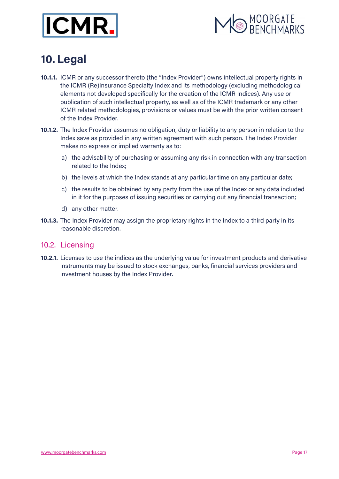



# 10. Legal

- 10.1.1. ICMR or any successor thereto (the "Index Provider") owns intellectual property rights in the ICMR (Re)Insurance Specialty Index and its methodology (excluding methodological elements not developed specifically for the creation of the ICMR Indices). Any use or publication of such intellectual property, as well as of the ICMR trademark or any other ICMR related methodologies, provisions or values must be with the prior written consent of the Index Provider.
- 10.1.2. The Index Provider assumes no obligation, duty or liability to any person in relation to the Index save as provided in any written agreement with such person. The Index Provider makes no express or implied warranty as to:
	- a) the advisability of purchasing or assuming any risk in connection with any transaction related to the Index;
	- b) the levels at which the Index stands at any particular time on any particular date;
	- c) the results to be obtained by any party from the use of the Index or any data included in it for the purposes of issuing securities or carrying out any financial transaction;
	- d) any other matter.
- 10.1.3. The Index Provider may assign the proprietary rights in the Index to a third party in its reasonable discretion.

#### 10.2. Licensing

10.2.1. Licenses to use the indices as the underlying value for investment products and derivative instruments may be issued to stock exchanges, banks, financial services providers and investment houses by the Index Provider.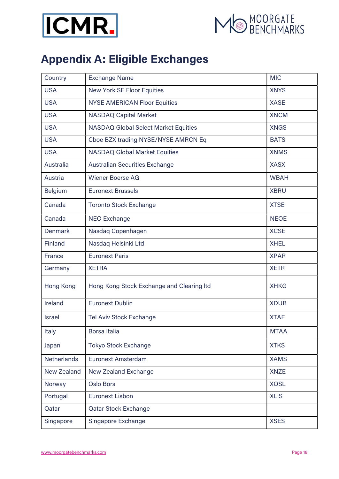



# Appendix A: Eligible Exchanges

| Country            | <b>Exchange Name</b>                        | <b>MIC</b>  |
|--------------------|---------------------------------------------|-------------|
| <b>USA</b>         | <b>New York SE Floor Equities</b>           | <b>XNYS</b> |
| <b>USA</b>         | <b>NYSE AMERICAN Floor Equities</b>         | <b>XASE</b> |
| <b>USA</b>         | <b>NASDAQ Capital Market</b>                | <b>XNCM</b> |
| <b>USA</b>         | <b>NASDAQ Global Select Market Equities</b> | <b>XNGS</b> |
| <b>USA</b>         | Cboe BZX trading NYSE/NYSE AMRCN Eq         | <b>BATS</b> |
| <b>USA</b>         | <b>NASDAQ Global Market Equities</b>        | <b>XNMS</b> |
| Australia          | <b>Australian Securities Exchange</b>       | <b>XASX</b> |
| Austria            | <b>Wiener Boerse AG</b>                     | <b>WBAH</b> |
| <b>Belgium</b>     | <b>Euronext Brussels</b>                    | <b>XBRU</b> |
| Canada             | <b>Toronto Stock Exchange</b>               | <b>XTSE</b> |
| Canada             | <b>NEO Exchange</b>                         | <b>NEOE</b> |
| <b>Denmark</b>     | Nasdaq Copenhagen                           | <b>XCSE</b> |
| <b>Finland</b>     | Nasdaq Helsinki Ltd                         | <b>XHEL</b> |
| France             | <b>Euronext Paris</b>                       | <b>XPAR</b> |
| Germany            | <b>XETRA</b>                                | <b>XETR</b> |
| Hong Kong          | Hong Kong Stock Exchange and Clearing Itd   | <b>XHKG</b> |
| Ireland            | <b>Euronext Dublin</b>                      | <b>XDUB</b> |
| <b>Israel</b>      | <b>Tel Aviv Stock Exchange</b>              | <b>XTAE</b> |
| Italy              | Borsa Italia                                | <b>MTAA</b> |
| Japan              | <b>Tokyo Stock Exchange</b>                 | <b>XTKS</b> |
| <b>Netherlands</b> | <b>Euronext Amsterdam</b>                   | <b>XAMS</b> |
| <b>New Zealand</b> | <b>New Zealand Exchange</b>                 | <b>XNZE</b> |
| Norway             | <b>Oslo Bors</b>                            | <b>XOSL</b> |
| Portugal           | <b>Euronext Lisbon</b>                      | <b>XLIS</b> |
| Qatar              | <b>Qatar Stock Exchange</b>                 |             |
| Singapore          | Singapore Exchange                          | <b>XSES</b> |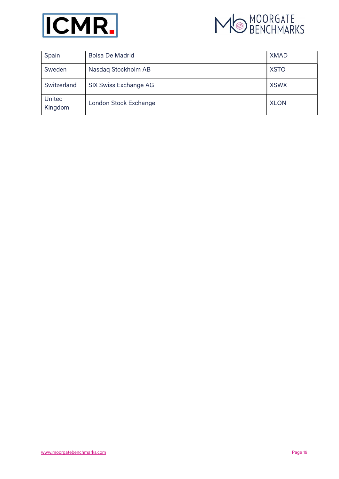



| Spain             | <b>Bolsa De Madrid</b>       | <b>XMAD</b> |
|-------------------|------------------------------|-------------|
| Sweden            | Nasdaq Stockholm AB          | <b>XSTO</b> |
| Switzerland       | <b>SIX Swiss Exchange AG</b> | <b>XSWX</b> |
| United<br>Kingdom | London Stock Exchange        | <b>XLON</b> |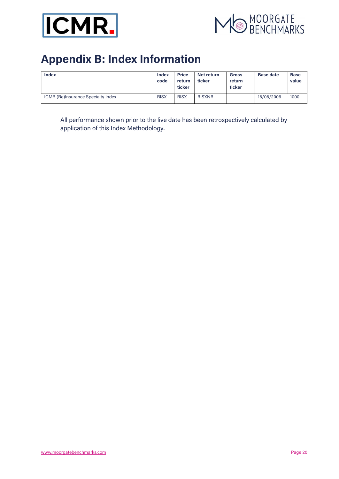



# Appendix B: Index Information

| <b>Index</b>                              | <b>Index</b><br>code | <b>Price</b><br>return<br>ticker | Net return<br>ticker | <b>Gross</b><br>return<br>ticker | <b>Base date</b> | <b>Base</b><br>value |
|-------------------------------------------|----------------------|----------------------------------|----------------------|----------------------------------|------------------|----------------------|
| <b>ICMR (Re)Insurance Specialty Index</b> | <b>RISX</b>          | <b>RISX</b>                      | <b>RISXNR</b>        |                                  | 16/06/2006       | 1000                 |

All performance shown prior to the live date has been retrospectively calculated by application of this Index Methodology.